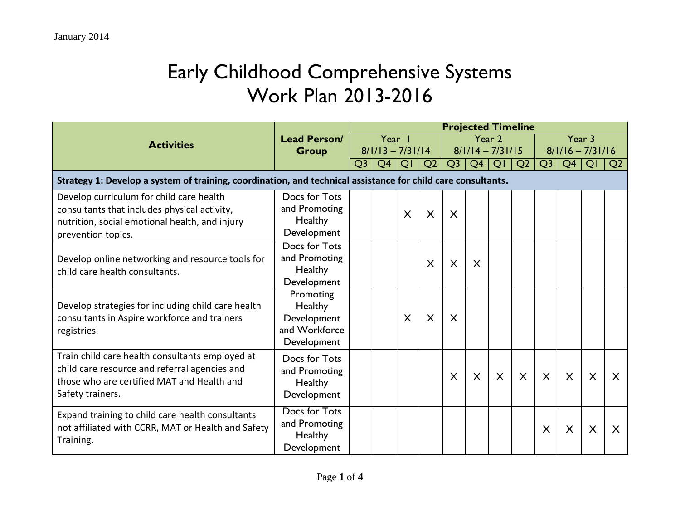## Early Childhood Comprehensive Systems Work Plan 2013-2016

|                                                                                                              |                     | <b>Projected Timeline</b> |        |         |                |                |                |                    |                |                    |                |                           |                |  |
|--------------------------------------------------------------------------------------------------------------|---------------------|---------------------------|--------|---------|----------------|----------------|----------------|--------------------|----------------|--------------------|----------------|---------------------------|----------------|--|
| <b>Activities</b>                                                                                            | <b>Lead Person/</b> |                           | Year 1 |         |                |                |                | Year 2             |                | Year 3             |                |                           |                |  |
|                                                                                                              | <b>Group</b>        | $8/1/13 - 7/31/14$        |        |         |                |                |                | $8/1/14 - 7/31/15$ |                | $8/1/16 - 7/31/16$ |                |                           |                |  |
|                                                                                                              |                     | Q <sub>3</sub>            | Q4     | QI      | Q <sub>2</sub> | Q <sub>3</sub> | Q <sub>4</sub> | QI                 | Q <sub>2</sub> | Q <sub>3</sub>     | Q <sub>4</sub> | QI                        | Q <sub>2</sub> |  |
| Strategy 1: Develop a system of training, coordination, and technical assistance for child care consultants. |                     |                           |        |         |                |                |                |                    |                |                    |                |                           |                |  |
| Develop curriculum for child care health                                                                     | Docs for Tots       |                           |        |         |                |                |                |                    |                |                    |                |                           |                |  |
| consultants that includes physical activity,                                                                 | and Promoting       |                           |        | $\sf X$ | X              | X              |                |                    |                |                    |                |                           |                |  |
| nutrition, social emotional health, and injury                                                               | Healthy             |                           |        |         |                |                |                |                    |                |                    |                |                           |                |  |
| prevention topics.                                                                                           | Development         |                           |        |         |                |                |                |                    |                |                    |                |                           |                |  |
|                                                                                                              | Docs for Tots       |                           |        |         |                |                |                |                    |                |                    |                |                           |                |  |
| Develop online networking and resource tools for                                                             | and Promoting       |                           |        |         | X              | $\times$       | X              |                    |                |                    |                |                           |                |  |
| child care health consultants.                                                                               | Healthy             |                           |        |         |                |                |                |                    |                |                    |                |                           |                |  |
|                                                                                                              | Development         |                           |        |         |                |                |                |                    |                |                    |                |                           |                |  |
|                                                                                                              | Promoting           |                           |        |         |                |                |                |                    |                |                    |                |                           |                |  |
| Develop strategies for including child care health                                                           | Healthy             |                           |        |         |                |                |                |                    |                |                    |                |                           |                |  |
| consultants in Aspire workforce and trainers                                                                 | Development         |                           |        | $\sf X$ | X              | X              |                |                    |                |                    |                |                           |                |  |
| registries.                                                                                                  | and Workforce       |                           |        |         |                |                |                |                    |                |                    |                |                           |                |  |
|                                                                                                              | Development         |                           |        |         |                |                |                |                    |                |                    |                |                           |                |  |
| Train child care health consultants employed at                                                              | Docs for Tots       |                           |        |         |                |                |                |                    |                |                    |                |                           |                |  |
| child care resource and referral agencies and                                                                | and Promoting       |                           |        |         |                | $\mathsf{X}$   | $\mathsf{X}$   | X                  | $\times$       | $\mathsf{X}$       | $\times$       | $\boldsymbol{\mathsf{X}}$ | X              |  |
| those who are certified MAT and Health and                                                                   | Healthy             |                           |        |         |                |                |                |                    |                |                    |                |                           |                |  |
| Safety trainers.                                                                                             | Development         |                           |        |         |                |                |                |                    |                |                    |                |                           |                |  |
| Expand training to child care health consultants                                                             | Docs for Tots       |                           |        |         |                |                |                |                    |                |                    |                |                           |                |  |
| not affiliated with CCRR, MAT or Health and Safety                                                           | and Promoting       |                           |        |         |                |                |                |                    |                | X                  | X              | X                         | X              |  |
| Training.                                                                                                    | Healthy             |                           |        |         |                |                |                |                    |                |                    |                |                           |                |  |
|                                                                                                              | Development         |                           |        |         |                |                |                |                    |                |                    |                |                           |                |  |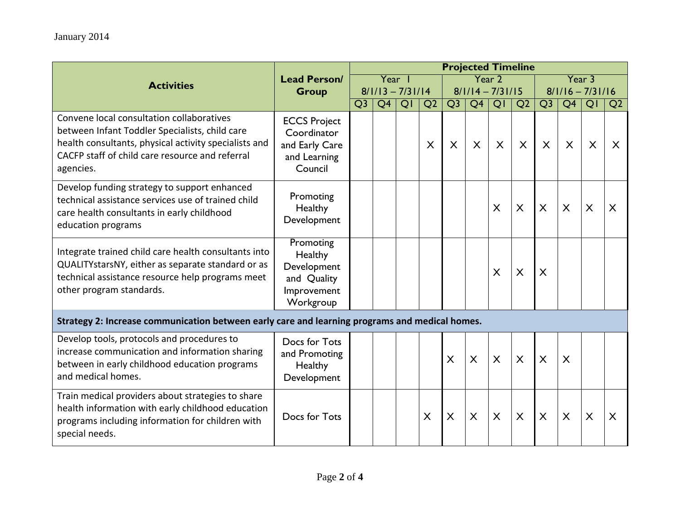|                                                                                                                                                                                                                      |                                                                                 | <b>Projected Timeline</b> |                 |    |                |              |                    |                           |                           |                           |                           |    |                         |  |
|----------------------------------------------------------------------------------------------------------------------------------------------------------------------------------------------------------------------|---------------------------------------------------------------------------------|---------------------------|-----------------|----|----------------|--------------|--------------------|---------------------------|---------------------------|---------------------------|---------------------------|----|-------------------------|--|
| <b>Activities</b>                                                                                                                                                                                                    | <b>Lead Person/</b>                                                             |                           | Year 1          |    |                |              |                    | Year 2                    |                           | Year 3                    |                           |    |                         |  |
|                                                                                                                                                                                                                      | <b>Group</b>                                                                    | $8/1/13 - 7/31/14$        |                 |    |                |              | $8/1/14 - 7/31/15$ |                           |                           | $8/1/16 - 7/31/16$        |                           |    |                         |  |
|                                                                                                                                                                                                                      |                                                                                 | Q <sub>3</sub>            | $\overline{Q4}$ | QI | Q <sub>2</sub> | Q3           | $\overline{Q4}$    | $\overline{Q}$            | Q <sub>2</sub>            | Q <sub>3</sub>            | $\overline{Q4}$           | QI | Q <sub>2</sub>          |  |
| Convene local consultation collaboratives<br>between Infant Toddler Specialists, child care<br>health consultants, physical activity specialists and<br>CACFP staff of child care resource and referral<br>agencies. | <b>ECCS Project</b><br>Coordinator<br>and Early Care<br>and Learning<br>Council |                           |                 |    | $\sf X$        | X            | X                  | $\boldsymbol{\mathsf{X}}$ | $\boldsymbol{\mathsf{X}}$ | X                         | X                         | X  | X                       |  |
| Develop funding strategy to support enhanced<br>technical assistance services use of trained child<br>care health consultants in early childhood<br>education programs                                               | Promoting<br>Healthy<br>Development                                             |                           |                 |    |                |              |                    | $\mathsf{X}$              | $\boldsymbol{\mathsf{X}}$ | $\boldsymbol{\mathsf{X}}$ | $\boldsymbol{\mathsf{X}}$ | X  | $\overline{\mathsf{X}}$ |  |
| Integrate trained child care health consultants into<br>QUALITYstarsNY, either as separate standard or as<br>technical assistance resource help programs meet<br>other program standards.                            | Promoting<br>Healthy<br>Development<br>and Quality<br>Improvement<br>Workgroup  |                           |                 |    |                |              |                    | $\sf X$                   | $\sf X$                   | X                         |                           |    |                         |  |
| Strategy 2: Increase communication between early care and learning programs and medical homes.                                                                                                                       |                                                                                 |                           |                 |    |                |              |                    |                           |                           |                           |                           |    |                         |  |
| Develop tools, protocols and procedures to<br>increase communication and information sharing<br>between in early childhood education programs<br>and medical homes.                                                  | Docs for Tots<br>and Promoting<br>Healthy<br>Development                        |                           |                 |    |                | $\mathsf{X}$ | $\sf X$            | $\sf X$                   | $\mathsf{X}$              | $\sf X$                   | $\sf X$                   |    |                         |  |
| Train medical providers about strategies to share<br>health information with early childhood education<br>programs including information for children with<br>special needs.                                         | Docs for Tots                                                                   |                           |                 |    | $\sf X$        | X            | $\times$           | $\times$                  | $\times$                  | $\boldsymbol{\mathsf{X}}$ | $\times$                  | X  | $\times$                |  |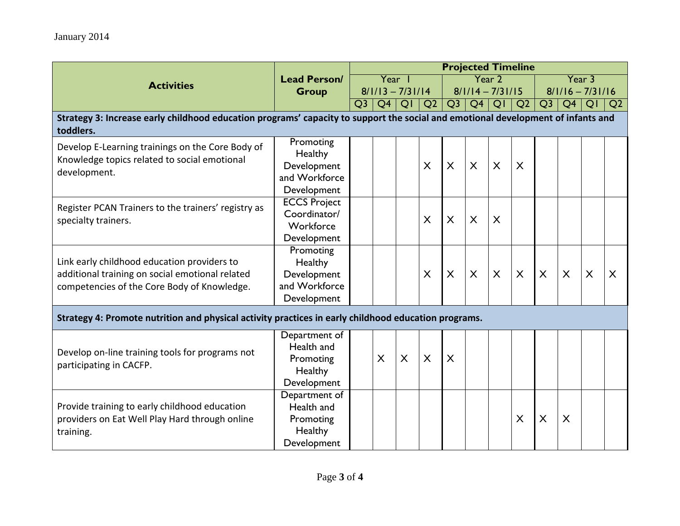|                                                                                                                                               |                                                                     | <b>Projected Timeline</b> |    |        |                           |                           |                         |                         |                         |                |                         |         |                |
|-----------------------------------------------------------------------------------------------------------------------------------------------|---------------------------------------------------------------------|---------------------------|----|--------|---------------------------|---------------------------|-------------------------|-------------------------|-------------------------|----------------|-------------------------|---------|----------------|
| <b>Activities</b>                                                                                                                             | <b>Lead Person/</b>                                                 |                           |    | Year I |                           |                           |                         | Year 2                  |                         | Year 3         |                         |         |                |
|                                                                                                                                               | <b>Group</b>                                                        | $8/1/13 - 7/31/14$        |    |        | $8/1/14 - 7/31/15$        |                           |                         |                         | $8/1/16 - 7/31/16$      |                |                         |         |                |
|                                                                                                                                               |                                                                     | Q <sub>3</sub>            | Q4 | QI     | Q <sub>2</sub>            | Q <sub>3</sub>            | Q <sub>4</sub>          | QI                      | Q <sub>2</sub>          | Q <sub>3</sub> | Q <sub>4</sub>          | QI      | Q <sub>2</sub> |
| Strategy 3: Increase early childhood education programs' capacity to support the social and emotional development of infants and<br>toddlers. |                                                                     |                           |    |        |                           |                           |                         |                         |                         |                |                         |         |                |
| Develop E-Learning trainings on the Core Body of<br>Knowledge topics related to social emotional<br>development.                              | Promoting<br>Healthy<br>Development                                 |                           |    |        | $\sf X$                   | $\boldsymbol{\mathsf{X}}$ | $\mathsf{X}$            | $\sf X$                 | $\sf X$                 |                |                         |         |                |
|                                                                                                                                               | and Workforce<br>Development                                        |                           |    |        |                           |                           |                         |                         |                         |                |                         |         |                |
| Register PCAN Trainers to the trainers' registry as<br>specialty trainers.                                                                    | <b>ECCS Project</b><br>Coordinator/<br>Workforce<br>Development     |                           |    |        | $\times$                  | $\boldsymbol{\mathsf{X}}$ | $\mathsf{X}$            | $\times$                |                         |                |                         |         |                |
| Link early childhood education providers to<br>additional training on social emotional related<br>competencies of the Core Body of Knowledge. | Promoting<br>Healthy<br>Development<br>and Workforce<br>Development |                           |    |        | $\overline{\mathsf{X}}$   | $\overline{X}$            | $\overline{\mathsf{X}}$ | $\overline{\mathsf{X}}$ | $\overline{\mathsf{X}}$ | $\overline{X}$ | $\overline{\mathsf{X}}$ | $\sf X$ | $\sf X$        |
| Strategy 4: Promote nutrition and physical activity practices in early childhood education programs.                                          |                                                                     |                           |    |        |                           |                           |                         |                         |                         |                |                         |         |                |
| Develop on-line training tools for programs not<br>participating in CACFP.                                                                    | Department of<br>Health and<br>Promoting<br>Healthy<br>Development  |                           | X  | X      | $\boldsymbol{\mathsf{X}}$ | X                         |                         |                         |                         |                |                         |         |                |
| Provide training to early childhood education<br>providers on Eat Well Play Hard through online<br>training.                                  | Department of<br>Health and<br>Promoting<br>Healthy<br>Development  |                           |    |        |                           |                           |                         |                         | X                       | X              | X                       |         |                |